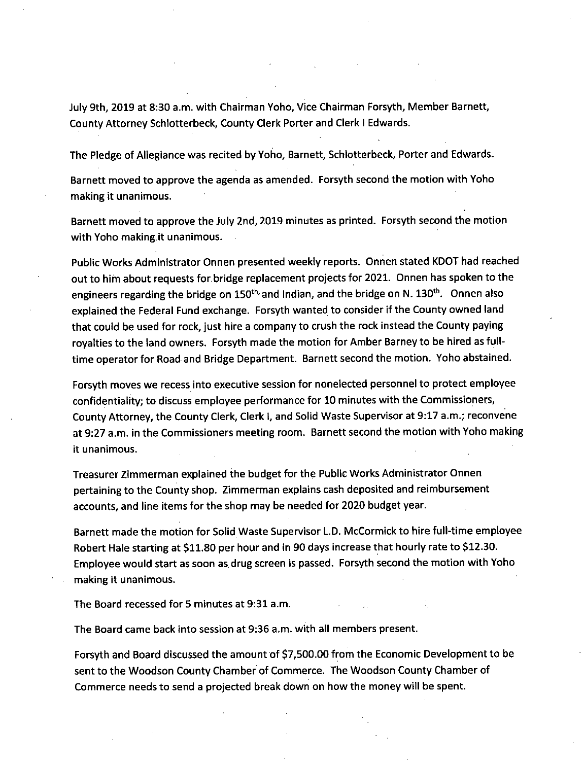July 9th, 2019 at 8:30 a.m. with Chairman Yoho, Vice Chairman Forsyth, Member Barnett, County Attorney Schlotterbeck, County Clerk Porter and Clerk I Edwards.

The Pledge of Allegiance was recited by Yoho, Barnett, Schlotterbeck, Porter and Edwards.

Barnett moved to approve the agenda as amended. Forsyth second the motion with Yoho making it unanimous.

Barnett moved to approve the July 2nd, 2019 minutes as printed. Forsyth second the motion with Yoho making it unanimous.

Public Works Administrator Onnen presented weekly reports. Onnen stated KDOT had reached out to him about requests for bridge replacement projects for 2021. Onnen has spoken to the engineers regarding the bridge on 150<sup>th,</sup> and Indian, and the bridge on N. 130<sup>th</sup>. Onnen also explained the Federal Fund exchange. Forsyth wanted to consider if the County owned land that could be used for rock, just hire a company to crush the rock instead the County paying royalties to the land owners. Forsyth made the motion for Amber Barney to be hired as fulltime operator for Road and Bridge Department. Barnett second the motion. Yoho abstained.

Forsyth moves we recess into executive session for nonelected personnel to protect employee confidentiality; to discuss employee performance for 10 minutes with the Commissioners, County Attorney, the County Clerk, Clerk I, and Solid Waste Supervisor at 9:17 a.m.; reconvene at 9:27 a.m. in the Commissioners meeting room. Barnett second the motion with Yoho making it unanimous.

Treasurer Zimmerman explained the budget for the Public Works Administrator Onnen pertaining to the County shop. Zimmerman explains cash deposited and reimbursement accounts, and line items for the shop may be needed for 2020 budget year.

Barnett made the motion for Solid Waste Supervisor L.D. McCormick to hire full-time employee Robert Hale starting at \$11.80 per hour and in 90 days increase that hourly rate to \$12.30. Employee would start as soon as drug screen is passed. Forsyth second the motion with Yoho making it unanimous.

The Board recessed for 5 minutes at 9:31 a.m.

The Board came back into session at 9:36 a.m. with all members present.

Forsyth and Board discussed the amount of \$7,500.00 from the Economic Development to be sent to the Woodson County Chamber of Commerce. The Woodson County Chamber of Commerce needs to send a projected break down on how the money will be spent.